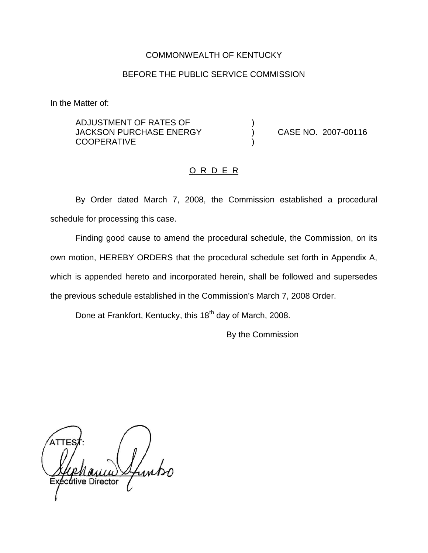## COMMONWEALTH OF KENTUCKY

### BEFORE THE PUBLIC SERVICE COMMISSION

In the Matter of:

ADJUSTMENT OF RATES OF ) JACKSON PURCHASE ENERGY ) CASE NO. 2007-00116 **COOPERATIVE** 

#### O R D E R

By Order dated March 7, 2008, the Commission established a procedural schedule for processing this case.

Finding good cause to amend the procedural schedule, the Commission, on its own motion, HEREBY ORDERS that the procedural schedule set forth in Appendix A, which is appended hereto and incorporated herein, shall be followed and supersedes the previous schedule established in the Commission's March 7, 2008 Order.

Done at Frankfort, Kentucky, this 18<sup>th</sup> day of March, 2008.

By the Commission